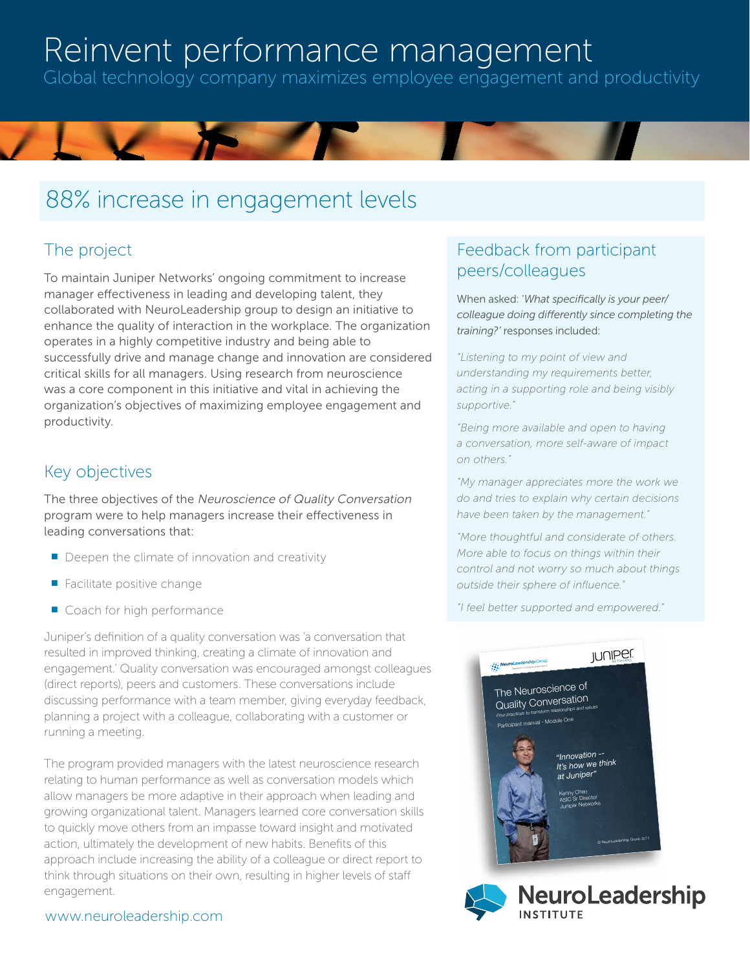## Reinvent performance management

Global technology company maximizes employee engagement and productivity

## 88% increase in engagement levels

## The project

To maintain Juniper Networks' ongoing commitment to increase manager effectiveness in leading and developing talent, they collaborated with NeuroLeadership group to design an initiative to enhance the quality of interaction in the workplace. The organization operates in a highly competitive industry and being able to successfully drive and manage change and innovation are considered critical skills for all managers. Using research from neuroscience was a core component in this initiative and vital in achieving the organization's objectives of maximizing employee engagement and productivity.

### Key objectives

The three objectives of the Neuroscience of Quality Conversation program were to help managers increase their effectiveness in leading conversations that:

- Deepen the climate of innovation and creativity
- $\blacksquare$  Facilitate positive change
- Coach for high performance

Juniper's definition of a quality conversation was 'a conversation that resulted in improved thinking, creating a climate of innovation and engagement.' Quality conversation was encouraged amongst colleagues (direct reports), peers and customers. These conversations include discussing performance with a team member, giving everyday feedback, planning a project with a colleague, collaborating with a customer or running a meeting.

The program provided managers with the latest neuroscience research relating to human performance as well as conversation models which allow managers be more adaptive in their approach when leading and growing organizational talent. Managers learned core conversation skills to quickly move others from an impasse toward insight and motivated action, ultimately the development of new habits. Benefits of this approach include increasing the ability of a colleague or direct report to think through situations on their own, resulting in higher levels of staff engagement.

### Feedback from participant peers/colleagues

When asked: '*What specifically is your peer/ colleague doing differently since completing the training?'* responses included:

*"Listening to my point of view and understanding my requirements better, acting in a supporting role and being visibly supportive."*

*"Being more available and open to having a conversation, more self-aware of impact on others."*

*"My manager appreciates more the work we do and tries to explain why certain decisions have been taken by the management."*

*"More thoughtful and considerate of others. More able to focus on things within their control and not worry so much about things outside their sphere of influence."*

*"I feel better supported and empowered."*





### www.neuroleadership.com